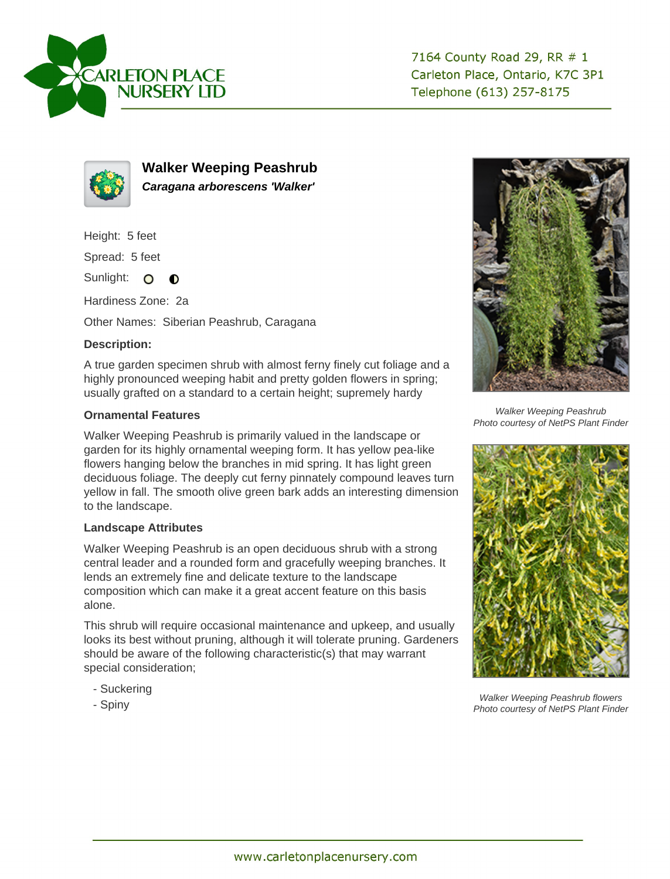



**Walker Weeping Peashrub Caragana arborescens 'Walker'**

Height: 5 feet

Spread: 5 feet

Sunlight: O  $\bullet$ 

Hardiness Zone: 2a

Other Names: Siberian Peashrub, Caragana

## **Description:**

A true garden specimen shrub with almost ferny finely cut foliage and a highly pronounced weeping habit and pretty golden flowers in spring; usually grafted on a standard to a certain height; supremely hardy

## **Ornamental Features**

Walker Weeping Peashrub is primarily valued in the landscape or garden for its highly ornamental weeping form. It has yellow pea-like flowers hanging below the branches in mid spring. It has light green deciduous foliage. The deeply cut ferny pinnately compound leaves turn yellow in fall. The smooth olive green bark adds an interesting dimension to the landscape.

## **Landscape Attributes**

Walker Weeping Peashrub is an open deciduous shrub with a strong central leader and a rounded form and gracefully weeping branches. It lends an extremely fine and delicate texture to the landscape composition which can make it a great accent feature on this basis alone.

This shrub will require occasional maintenance and upkeep, and usually looks its best without pruning, although it will tolerate pruning. Gardeners should be aware of the following characteristic(s) that may warrant special consideration;

- Suckering
- Spiny



Walker Weeping Peashrub Photo courtesy of NetPS Plant Finder



Walker Weeping Peashrub flowers Photo courtesy of NetPS Plant Finder